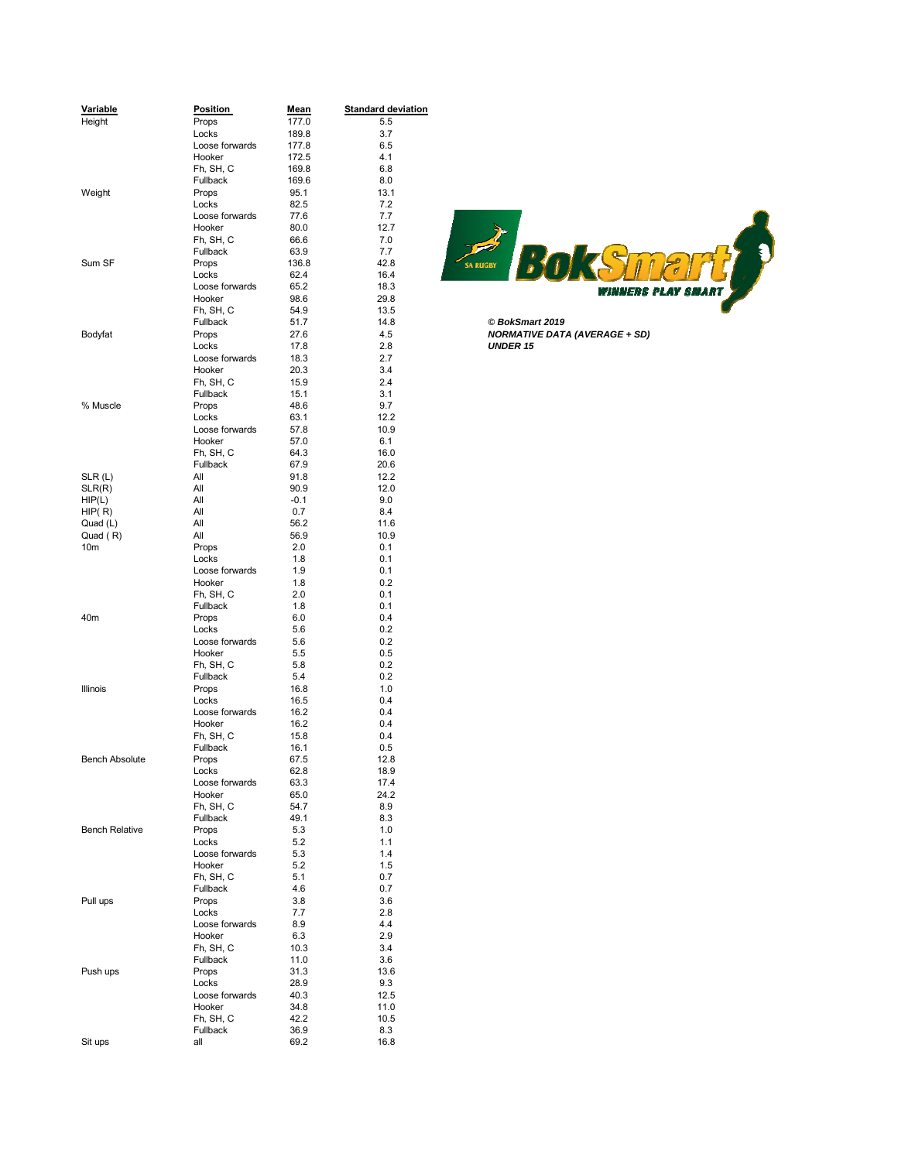| Variable              | <b>Position</b> | <u>Mean</u> | <b>Standard deviation</b> |
|-----------------------|-----------------|-------------|---------------------------|
| Height                | Props           | 177.0       | 5.5                       |
|                       | Locks           | 189.8       | 3.7                       |
|                       | Loose forwards  | 177.8       | 6.5                       |
|                       | Hooker          | 172.5       | 4.1                       |
|                       | Fh, SH, C       | 169.8       | 6.8                       |
|                       | Fullback        | 169.6       | 8.0                       |
| Weight                | Props           | 95.1        | 13.1                      |
|                       | Locks           | 82.5        | 7.2                       |
|                       | Loose forwards  | 77.6        | 7.7                       |
|                       |                 |             |                           |
|                       | Hooker          | 80.0        | 12.7                      |
|                       | Fh, SH, C       | 66.6        | 7.0                       |
|                       | Fullback        | 63.9        | 7.7                       |
| Sum SF                | Props           | 136.8       | 42.8                      |
|                       | Locks           | 62.4        | 16.4                      |
|                       | Loose forwards  | 65.2        | 18.3                      |
|                       | Hooker          | 98.6        | 29.8                      |
|                       | Fh, SH, C       | 54.9        | 13.5                      |
|                       | Fullback        | 51.7        | 14.8                      |
| Bodyfat               | Props           | 27.6        | 4.5                       |
|                       | Locks           | 17.8        | 2.8                       |
|                       | Loose forwards  | 18.3        | 2.7                       |
|                       | Hooker          | 20.3        | 3.4                       |
|                       | Fh, SH, C       | 15.9        | 2.4                       |
|                       |                 | 15.1        | 3.1                       |
|                       | Fullback        |             |                           |
| % Muscle              | Props           | 48.6        | 9.7                       |
|                       | Locks           | 63.1        | 12.2                      |
|                       | Loose forwards  | 57.8        | 10.9                      |
|                       | Hooker          | 57.0        | 6.1                       |
|                       | Fh, SH, C       | 64.3        | 16.0                      |
|                       | Fullback        | 67.9        | 20.6                      |
| SLR(L)                | All             | 91.8        | 12.2                      |
| SLR(R)                | All             | 90.9        | 12.0                      |
| HIP(L)                | All             | $-0.1$      | 9.0                       |
| HIP(R)                | All             | 0.7         | 8.4                       |
| Quad (L)              | All             | 56.2        | 11.6                      |
| Quad (R)              | All             | 56.9        | 10.9                      |
| 10 <sub>m</sub>       | Props           | 2.0         | 0.1                       |
|                       | Locks           | 1.8         | 0.1                       |
|                       | Loose forwards  | 1.9         | 0.1                       |
|                       | Hooker          | 1.8         | 0.2                       |
|                       |                 |             |                           |
|                       | Fh, SH, C       | 2.0         | 0.1                       |
|                       | Fullback        | 1.8         | 0.1                       |
| 40m                   | Props           | 6.0         | 0.4                       |
|                       | Locks           | 5.6         | 0.2                       |
|                       | Loose forwards  | 5.6         | 0.2                       |
|                       | Hooker          | 5.5         | 0.5                       |
|                       | Fh, SH, C       | 5.8         | 0.2                       |
|                       | Fullback        | 5.4         | 0.2                       |
| Illinois              | Props           | 16.8        | 1.0                       |
|                       | Locks           | 16.5        | 0.4                       |
|                       | Loose forwards  | 16.2        | 0.4                       |
|                       | Hooker          | 16.2        | 0.4                       |
|                       | Fh, SH, C       | 15.8        | 0.4                       |
|                       | Fullback        | 16.1        | 0.5                       |
| <b>Bench Absolute</b> |                 | 67.5        | 12.8                      |
|                       | Props<br>Locks  |             |                           |
|                       |                 | 62.8        | 18.9                      |
|                       | Loose forwards  | 63.3        | 17.4                      |
|                       | Hooker          | 65.0        | 24.2                      |
|                       | Fh, SH, C       | 54.7        | 8.9                       |
|                       | Fullback        | 49.1        | 8.3                       |
| <b>Bench Relative</b> | Props           | 5.3         | 1.0                       |
|                       | Locks           | 5.2         | 1.1                       |
|                       | Loose forwards  | 5.3         | 1.4                       |
|                       | Hooker          | 5.2         | 1.5                       |
|                       | Fh, SH, C       | 5.1         | 0.7                       |
|                       | Fullback        | 4.6         | 0.7                       |
| Pull ups              | Props           | 3.8         | 3.6                       |
|                       | Locks           | 7.7         | 2.8                       |
|                       | Loose forwards  | 8.9         | 4.4                       |
|                       | Hooker          | 6.3         | 2.9                       |
|                       | Fh, SH, C       | 10.3        | 3.4                       |
|                       | Fullback        |             |                           |
|                       |                 | 11.0        | 3.6                       |
| Push ups              | Props           | 31.3        | 13.6                      |
|                       | Locks           | 28.9        | 9.3                       |
|                       | Loose forwards  | 40.3        | 12.5                      |
|                       | Hooker          | 34.8        | 11.0                      |
|                       | Fh, SH, C       | 42.2        | 10.5                      |
|                       | Fullback        | 36.9        | 8.3                       |
| Sit ups               | all             | 69.2        | 16.8                      |